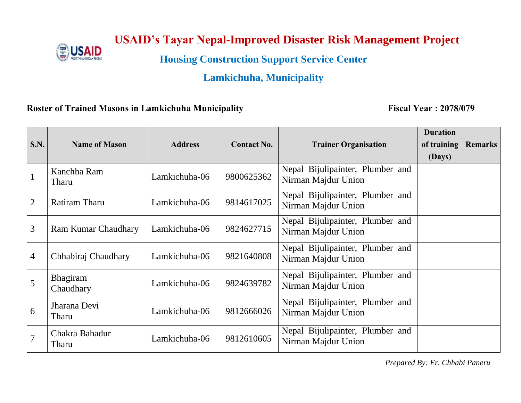

# **USAID's Tayar Nepal-Improved Disaster Risk Management Project**

**Housing Construction Support Service Center**

## **Lamkichuha, Municipality**

### **Roster of Trained Masons in Lamkichuha Municipality Fiscal Year : 2078/079**

|                |                              |                |                    |                                                         | <b>Duration</b> |                |
|----------------|------------------------------|----------------|--------------------|---------------------------------------------------------|-----------------|----------------|
| S.N.           | <b>Name of Mason</b>         | <b>Address</b> | <b>Contact No.</b> | <b>Trainer Organisation</b>                             | of training     | <b>Remarks</b> |
|                |                              |                |                    |                                                         | (Days)          |                |
| $\mathbf{1}$   | Kanchha Ram<br>Tharu         | Lamkichuha-06  | 9800625362         | Nepal Bijulipainter, Plumber and<br>Nirman Majdur Union |                 |                |
| 2              | Ratiram Tharu                | Lamkichuha-06  | 9814617025         | Nepal Bijulipainter, Plumber and<br>Nirman Majdur Union |                 |                |
| 3              | <b>Ram Kumar Chaudhary</b>   | Lamkichuha-06  | 9824627715         | Nepal Bijulipainter, Plumber and<br>Nirman Majdur Union |                 |                |
| $\overline{4}$ | Chhabiraj Chaudhary          | Lamkichuha-06  | 9821640808         | Nepal Bijulipainter, Plumber and<br>Nirman Majdur Union |                 |                |
| 5              | <b>Bhagiram</b><br>Chaudhary | Lamkichuha-06  | 9824639782         | Nepal Bijulipainter, Plumber and<br>Nirman Majdur Union |                 |                |
| 6              | Jharana Devi<br>Tharu        | Lamkichuha-06  | 9812666026         | Nepal Bijulipainter, Plumber and<br>Nirman Majdur Union |                 |                |
| $\overline{7}$ | Chakra Bahadur<br>Tharu      | Lamkichuha-06  | 9812610605         | Nepal Bijulipainter, Plumber and<br>Nirman Majdur Union |                 |                |

*Prepared By: Er. Chhabi Paneru*